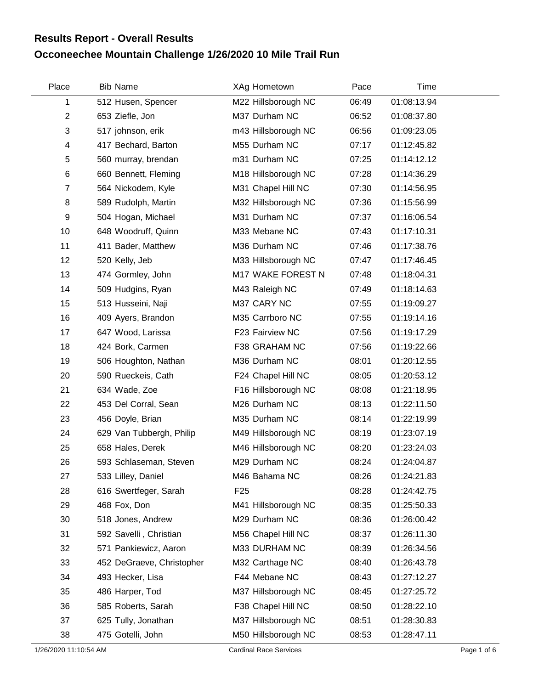## **Occoneechee Mountain Challenge 1/26/2020 10 Mile Trail Run Results Report - Overall Results**

| Place                   | <b>Bib Name</b>           | XAg Hometown        | Pace  | Time        |  |
|-------------------------|---------------------------|---------------------|-------|-------------|--|
| 1                       | 512 Husen, Spencer        | M22 Hillsborough NC | 06:49 | 01:08:13.94 |  |
| $\overline{2}$          | 653 Ziefle, Jon           | M37 Durham NC       | 06:52 | 01:08:37.80 |  |
| 3                       | 517 johnson, erik         | m43 Hillsborough NC | 06:56 | 01:09:23.05 |  |
| $\overline{\mathbf{4}}$ | 417 Bechard, Barton       | M55 Durham NC       | 07:17 | 01:12:45.82 |  |
| 5                       | 560 murray, brendan       | m31 Durham NC       | 07:25 | 01:14:12.12 |  |
| $\,6$                   | 660 Bennett, Fleming      | M18 Hillsborough NC | 07:28 | 01:14:36.29 |  |
| $\overline{7}$          | 564 Nickodem, Kyle        | M31 Chapel Hill NC  | 07:30 | 01:14:56.95 |  |
| 8                       | 589 Rudolph, Martin       | M32 Hillsborough NC | 07:36 | 01:15:56.99 |  |
| 9                       | 504 Hogan, Michael        | M31 Durham NC       | 07:37 | 01:16:06.54 |  |
| 10                      | 648 Woodruff, Quinn       | M33 Mebane NC       | 07:43 | 01:17:10.31 |  |
| 11                      | 411 Bader, Matthew        | M36 Durham NC       | 07:46 | 01:17:38.76 |  |
| 12                      | 520 Kelly, Jeb            | M33 Hillsborough NC | 07:47 | 01:17:46.45 |  |
| 13                      | 474 Gormley, John         | M17 WAKE FOREST N   | 07:48 | 01:18:04.31 |  |
| 14                      | 509 Hudgins, Ryan         | M43 Raleigh NC      | 07:49 | 01:18:14.63 |  |
| 15                      | 513 Husseini, Naji        | M37 CARY NC         | 07:55 | 01:19:09.27 |  |
| 16                      | 409 Ayers, Brandon        | M35 Carrboro NC     | 07:55 | 01:19:14.16 |  |
| 17                      | 647 Wood, Larissa         | F23 Fairview NC     | 07:56 | 01:19:17.29 |  |
| 18                      | 424 Bork, Carmen          | F38 GRAHAM NC       | 07:56 | 01:19:22.66 |  |
| 19                      | 506 Houghton, Nathan      | M36 Durham NC       | 08:01 | 01:20:12.55 |  |
| 20                      | 590 Rueckeis, Cath        | F24 Chapel Hill NC  | 08:05 | 01:20:53.12 |  |
| 21                      | 634 Wade, Zoe             | F16 Hillsborough NC | 08:08 | 01:21:18.95 |  |
| 22                      | 453 Del Corral, Sean      | M26 Durham NC       | 08:13 | 01:22:11.50 |  |
| 23                      | 456 Doyle, Brian          | M35 Durham NC       | 08:14 | 01:22:19.99 |  |
| 24                      | 629 Van Tubbergh, Philip  | M49 Hillsborough NC | 08:19 | 01:23:07.19 |  |
| 25                      | 658 Hales, Derek          | M46 Hillsborough NC | 08:20 | 01:23:24.03 |  |
| 26                      | 593 Schlaseman, Steven    | M29 Durham NC       | 08:24 | 01:24:04.87 |  |
| 27                      | 533 Lilley, Daniel        | M46 Bahama NC       | 08:26 | 01:24:21.83 |  |
| 28                      | 616 Swertfeger, Sarah     | F <sub>25</sub>     | 08:28 | 01:24:42.75 |  |
| 29                      | 468 Fox, Don              | M41 Hillsborough NC | 08:35 | 01:25:50.33 |  |
| 30                      | 518 Jones, Andrew         | M29 Durham NC       | 08:36 | 01:26:00.42 |  |
| 31                      | 592 Savelli, Christian    | M56 Chapel Hill NC  | 08:37 | 01:26:11.30 |  |
| 32                      | 571 Pankiewicz, Aaron     | M33 DURHAM NC       | 08:39 | 01:26:34.56 |  |
| 33                      | 452 DeGraeve, Christopher | M32 Carthage NC     | 08:40 | 01:26:43.78 |  |
| 34                      | 493 Hecker, Lisa          | F44 Mebane NC       | 08:43 | 01:27:12.27 |  |
| 35                      | 486 Harper, Tod           | M37 Hillsborough NC | 08:45 | 01:27:25.72 |  |
| 36                      | 585 Roberts, Sarah        | F38 Chapel Hill NC  | 08:50 | 01:28:22.10 |  |
| 37                      | 625 Tully, Jonathan       | M37 Hillsborough NC | 08:51 | 01:28:30.83 |  |
| 38                      | 475 Gotelli, John         | M50 Hillsborough NC | 08:53 | 01:28:47.11 |  |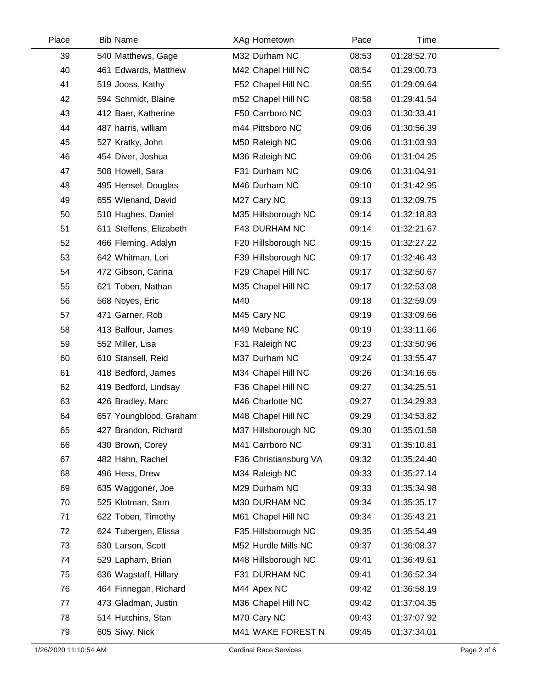| Place | <b>Bib Name</b>         | XAg Hometown          | Pace  | Time        |  |
|-------|-------------------------|-----------------------|-------|-------------|--|
| 39    | 540 Matthews, Gage      | M32 Durham NC         | 08:53 | 01:28:52.70 |  |
| 40    | 461 Edwards, Matthew    | M42 Chapel Hill NC    | 08:54 | 01:29:00.73 |  |
| 41    | 519 Jooss, Kathy        | F52 Chapel Hill NC    | 08:55 | 01:29:09.64 |  |
| 42    | 594 Schmidt, Blaine     | m52 Chapel Hill NC    | 08:58 | 01:29:41.54 |  |
| 43    | 412 Baer, Katherine     | F50 Carrboro NC       | 09:03 | 01:30:33.41 |  |
| 44    | 487 harris, william     | m44 Pittsboro NC      | 09:06 | 01:30:56.39 |  |
| 45    | 527 Kratky, John        | M50 Raleigh NC        | 09:06 | 01:31:03.93 |  |
| 46    | 454 Diver, Joshua       | M36 Raleigh NC        | 09:06 | 01:31:04.25 |  |
| 47    | 508 Howell, Sara        | F31 Durham NC         | 09:06 | 01:31:04.91 |  |
| 48    | 495 Hensel, Douglas     | M46 Durham NC         | 09:10 | 01:31:42.95 |  |
| 49    | 655 Wienand, David      | M27 Cary NC           | 09:13 | 01:32:09.75 |  |
| 50    | 510 Hughes, Daniel      | M35 Hillsborough NC   | 09:14 | 01:32:18.83 |  |
| 51    | 611 Steffens, Elizabeth | F43 DURHAM NC         | 09:14 | 01:32:21.67 |  |
| 52    | 466 Fleming, Adalyn     | F20 Hillsborough NC   | 09:15 | 01:32:27.22 |  |
| 53    | 642 Whitman, Lori       | F39 Hillsborough NC   | 09:17 | 01:32:46.43 |  |
| 54    | 472 Gibson, Carina      | F29 Chapel Hill NC    | 09:17 | 01:32:50.67 |  |
| 55    | 621 Toben, Nathan       | M35 Chapel Hill NC    | 09:17 | 01:32:53.08 |  |
| 56    | 568 Noyes, Eric         | M40                   | 09:18 | 01:32:59.09 |  |
| 57    | 471 Garner, Rob         | M45 Cary NC           | 09:19 | 01:33:09.66 |  |
| 58    | 413 Balfour, James      | M49 Mebane NC         | 09:19 | 01:33:11.66 |  |
| 59    | 552 Miller, Lisa        | F31 Raleigh NC        | 09:23 | 01:33:50.96 |  |
| 60    | 610 Stansell, Reid      | M37 Durham NC         | 09:24 | 01:33:55.47 |  |
| 61    | 418 Bedford, James      | M34 Chapel Hill NC    | 09:26 | 01:34:16.65 |  |
| 62    | 419 Bedford, Lindsay    | F36 Chapel Hill NC    | 09:27 | 01:34:25.51 |  |
| 63    | 426 Bradley, Marc       | M46 Charlotte NC      | 09:27 | 01:34:29.83 |  |
| 64    | 657 Youngblood, Graham  | M48 Chapel Hill NC    | 09:29 | 01:34:53.82 |  |
| 65    | 427 Brandon, Richard    | M37 Hillsborough NC   | 09:30 | 01:35:01.58 |  |
| 66    | 430 Brown, Corey        | M41 Carrboro NC       | 09:31 | 01:35:10.81 |  |
| 67    | 482 Hahn, Rachel        | F36 Christiansburg VA | 09:32 | 01:35:24.40 |  |
| 68    | 496 Hess, Drew          | M34 Raleigh NC        | 09:33 | 01:35:27.14 |  |
| 69    | 635 Waggoner, Joe       | M29 Durham NC         | 09:33 | 01:35:34.98 |  |
| 70    | 525 Klotman, Sam        | M30 DURHAM NC         | 09:34 | 01:35:35.17 |  |
| 71    | 622 Toben, Timothy      | M61 Chapel Hill NC    | 09:34 | 01:35:43.21 |  |
| 72    | 624 Tubergen, Elissa    | F35 Hillsborough NC   | 09:35 | 01:35:54.49 |  |
| 73    | 530 Larson, Scott       | M52 Hurdle Mills NC   | 09:37 | 01:36:08.37 |  |
| 74    | 529 Lapham, Brian       | M48 Hillsborough NC   | 09:41 | 01:36:49.61 |  |
| 75    | 636 Wagstaff, Hillary   | F31 DURHAM NC         | 09:41 | 01:36:52.34 |  |
| 76    | 464 Finnegan, Richard   | M44 Apex NC           | 09:42 | 01:36:58.19 |  |
| 77    | 473 Gladman, Justin     | M36 Chapel Hill NC    | 09:42 | 01:37:04.35 |  |
| 78    | 514 Hutchins, Stan      | M70 Cary NC           | 09:43 | 01:37:07.92 |  |
| 79    | 605 Siwy, Nick          | M41 WAKE FOREST N     | 09:45 | 01:37:34.01 |  |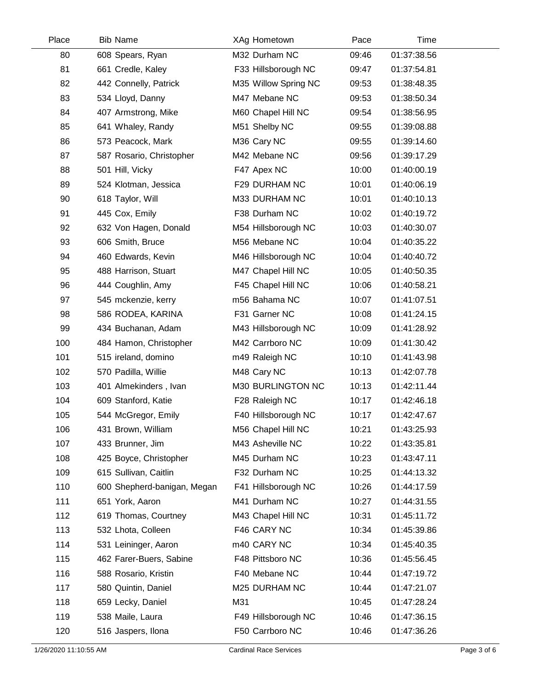| Place | <b>Bib Name</b>             | XAg Hometown         | Pace  | Time        |  |
|-------|-----------------------------|----------------------|-------|-------------|--|
| 80    | 608 Spears, Ryan            | M32 Durham NC        | 09:46 | 01:37:38.56 |  |
| 81    | 661 Credle, Kaley           | F33 Hillsborough NC  | 09:47 | 01:37:54.81 |  |
| 82    | 442 Connelly, Patrick       | M35 Willow Spring NC | 09:53 | 01:38:48.35 |  |
| 83    | 534 Lloyd, Danny            | M47 Mebane NC        | 09:53 | 01:38:50.34 |  |
| 84    | 407 Armstrong, Mike         | M60 Chapel Hill NC   | 09:54 | 01:38:56.95 |  |
| 85    | 641 Whaley, Randy           | M51 Shelby NC        | 09:55 | 01:39:08.88 |  |
| 86    | 573 Peacock, Mark           | M36 Cary NC          | 09:55 | 01:39:14.60 |  |
| 87    | 587 Rosario, Christopher    | M42 Mebane NC        | 09:56 | 01:39:17.29 |  |
| 88    | 501 Hill, Vicky             | F47 Apex NC          | 10:00 | 01:40:00.19 |  |
| 89    | 524 Klotman, Jessica        | F29 DURHAM NC        | 10:01 | 01:40:06.19 |  |
| 90    | 618 Taylor, Will            | M33 DURHAM NC        | 10:01 | 01:40:10.13 |  |
| 91    | 445 Cox, Emily              | F38 Durham NC        | 10:02 | 01:40:19.72 |  |
| 92    | 632 Von Hagen, Donald       | M54 Hillsborough NC  | 10:03 | 01:40:30.07 |  |
| 93    | 606 Smith, Bruce            | M56 Mebane NC        | 10:04 | 01:40:35.22 |  |
| 94    | 460 Edwards, Kevin          | M46 Hillsborough NC  | 10:04 | 01:40:40.72 |  |
| 95    | 488 Harrison, Stuart        | M47 Chapel Hill NC   | 10:05 | 01:40:50.35 |  |
| 96    | 444 Coughlin, Amy           | F45 Chapel Hill NC   | 10:06 | 01:40:58.21 |  |
| 97    | 545 mckenzie, kerry         | m56 Bahama NC        | 10:07 | 01:41:07.51 |  |
| 98    | 586 RODEA, KARINA           | F31 Garner NC        | 10:08 | 01:41:24.15 |  |
| 99    | 434 Buchanan, Adam          | M43 Hillsborough NC  | 10:09 | 01:41:28.92 |  |
| 100   | 484 Hamon, Christopher      | M42 Carrboro NC      | 10:09 | 01:41:30.42 |  |
| 101   | 515 ireland, domino         | m49 Raleigh NC       | 10:10 | 01:41:43.98 |  |
| 102   | 570 Padilla, Willie         | M48 Cary NC          | 10:13 | 01:42:07.78 |  |
| 103   | 401 Almekinders, Ivan       | M30 BURLINGTON NC    | 10:13 | 01:42:11.44 |  |
| 104   | 609 Stanford, Katie         | F28 Raleigh NC       | 10:17 | 01:42:46.18 |  |
| 105   | 544 McGregor, Emily         | F40 Hillsborough NC  | 10:17 | 01:42:47.67 |  |
| 106   | 431 Brown, William          | M56 Chapel Hill NC   | 10:21 | 01:43:25.93 |  |
| 107   | 433 Brunner, Jim            | M43 Asheville NC     | 10:22 | 01:43:35.81 |  |
| 108   | 425 Boyce, Christopher      | M45 Durham NC        | 10:23 | 01:43:47.11 |  |
| 109   | 615 Sullivan, Caitlin       | F32 Durham NC        | 10:25 | 01:44:13.32 |  |
| 110   | 600 Shepherd-banigan, Megan | F41 Hillsborough NC  | 10:26 | 01:44:17.59 |  |
| 111   | 651 York, Aaron             | M41 Durham NC        | 10:27 | 01:44:31.55 |  |
| 112   | 619 Thomas, Courtney        | M43 Chapel Hill NC   | 10:31 | 01:45:11.72 |  |
| 113   | 532 Lhota, Colleen          | F46 CARY NC          | 10:34 | 01:45:39.86 |  |
| 114   | 531 Leininger, Aaron        | m40 CARY NC          | 10:34 | 01:45:40.35 |  |
| 115   | 462 Farer-Buers, Sabine     | F48 Pittsboro NC     | 10:36 | 01:45:56.45 |  |
| 116   | 588 Rosario, Kristin        | F40 Mebane NC        | 10:44 | 01:47:19.72 |  |
| 117   | 580 Quintin, Daniel         | M25 DURHAM NC        | 10:44 | 01:47:21.07 |  |
| 118   | 659 Lecky, Daniel           | M31                  | 10:45 | 01:47:28.24 |  |
| 119   | 538 Maile, Laura            | F49 Hillsborough NC  | 10:46 | 01:47:36.15 |  |
| 120   | 516 Jaspers, Ilona          | F50 Carrboro NC      | 10:46 | 01:47:36.26 |  |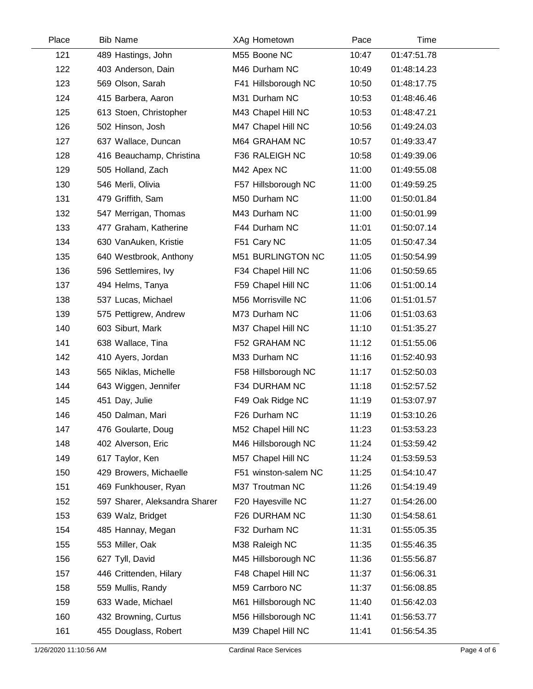| Place | <b>Bib Name</b>               | XAg Hometown         | Pace  | Time        |  |
|-------|-------------------------------|----------------------|-------|-------------|--|
| 121   | 489 Hastings, John            | M55 Boone NC         | 10:47 | 01:47:51.78 |  |
| 122   | 403 Anderson, Dain            | M46 Durham NC        | 10:49 | 01:48:14.23 |  |
| 123   | 569 Olson, Sarah              | F41 Hillsborough NC  | 10:50 | 01:48:17.75 |  |
| 124   | 415 Barbera, Aaron            | M31 Durham NC        | 10:53 | 01:48:46.46 |  |
| 125   | 613 Stoen, Christopher        | M43 Chapel Hill NC   | 10:53 | 01:48:47.21 |  |
| 126   | 502 Hinson, Josh              | M47 Chapel Hill NC   | 10:56 | 01:49:24.03 |  |
| 127   | 637 Wallace, Duncan           | M64 GRAHAM NC        | 10:57 | 01:49:33.47 |  |
| 128   | 416 Beauchamp, Christina      | F36 RALEIGH NC       | 10:58 | 01:49:39.06 |  |
| 129   | 505 Holland, Zach             | M42 Apex NC          | 11:00 | 01:49:55.08 |  |
| 130   | 546 Merli, Olivia             | F57 Hillsborough NC  | 11:00 | 01:49:59.25 |  |
| 131   | 479 Griffith, Sam             | M50 Durham NC        | 11:00 | 01:50:01.84 |  |
| 132   | 547 Merrigan, Thomas          | M43 Durham NC        | 11:00 | 01:50:01.99 |  |
| 133   | 477 Graham, Katherine         | F44 Durham NC        | 11:01 | 01:50:07.14 |  |
| 134   | 630 VanAuken, Kristie         | F51 Cary NC          | 11:05 | 01:50:47.34 |  |
| 135   | 640 Westbrook, Anthony        | M51 BURLINGTON NC    | 11:05 | 01:50:54.99 |  |
| 136   | 596 Settlemires, Ivy          | F34 Chapel Hill NC   | 11:06 | 01:50:59.65 |  |
| 137   | 494 Helms, Tanya              | F59 Chapel Hill NC   | 11:06 | 01:51:00.14 |  |
| 138   | 537 Lucas, Michael            | M56 Morrisville NC   | 11:06 | 01:51:01.57 |  |
| 139   | 575 Pettigrew, Andrew         | M73 Durham NC        | 11:06 | 01:51:03.63 |  |
| 140   | 603 Siburt, Mark              | M37 Chapel Hill NC   | 11:10 | 01:51:35.27 |  |
| 141   | 638 Wallace, Tina             | F52 GRAHAM NC        | 11:12 | 01:51:55.06 |  |
| 142   | 410 Ayers, Jordan             | M33 Durham NC        | 11:16 | 01:52:40.93 |  |
| 143   | 565 Niklas, Michelle          | F58 Hillsborough NC  | 11:17 | 01:52:50.03 |  |
| 144   | 643 Wiggen, Jennifer          | F34 DURHAM NC        | 11:18 | 01:52:57.52 |  |
| 145   | 451 Day, Julie                | F49 Oak Ridge NC     | 11:19 | 01:53:07.97 |  |
| 146   | 450 Dalman, Mari              | F26 Durham NC        | 11:19 | 01:53:10.26 |  |
| 147   | 476 Goularte, Doug            | M52 Chapel Hill NC   | 11:23 | 01:53:53.23 |  |
| 148   | 402 Alverson, Eric            | M46 Hillsborough NC  | 11:24 | 01:53:59.42 |  |
| 149   | 617 Taylor, Ken               | M57 Chapel Hill NC   | 11:24 | 01:53:59.53 |  |
| 150   | 429 Browers, Michaelle        | F51 winston-salem NC | 11:25 | 01:54:10.47 |  |
| 151   | 469 Funkhouser, Ryan          | M37 Troutman NC      | 11:26 | 01:54:19.49 |  |
| 152   | 597 Sharer, Aleksandra Sharer | F20 Hayesville NC    | 11:27 | 01:54:26.00 |  |
| 153   | 639 Walz, Bridget             | F26 DURHAM NC        | 11:30 | 01:54:58.61 |  |
| 154   | 485 Hannay, Megan             | F32 Durham NC        | 11:31 | 01:55:05.35 |  |
| 155   | 553 Miller, Oak               | M38 Raleigh NC       | 11:35 | 01:55:46.35 |  |
| 156   | 627 Tyll, David               | M45 Hillsborough NC  | 11:36 | 01:55:56.87 |  |
| 157   | 446 Crittenden, Hilary        | F48 Chapel Hill NC   | 11:37 | 01:56:06.31 |  |
| 158   | 559 Mullis, Randy             | M59 Carrboro NC      | 11:37 | 01:56:08.85 |  |
| 159   | 633 Wade, Michael             | M61 Hillsborough NC  | 11:40 | 01:56:42.03 |  |
| 160   | 432 Browning, Curtus          | M56 Hillsborough NC  | 11:41 | 01:56:53.77 |  |
| 161   | 455 Douglass, Robert          | M39 Chapel Hill NC   | 11:41 | 01:56:54.35 |  |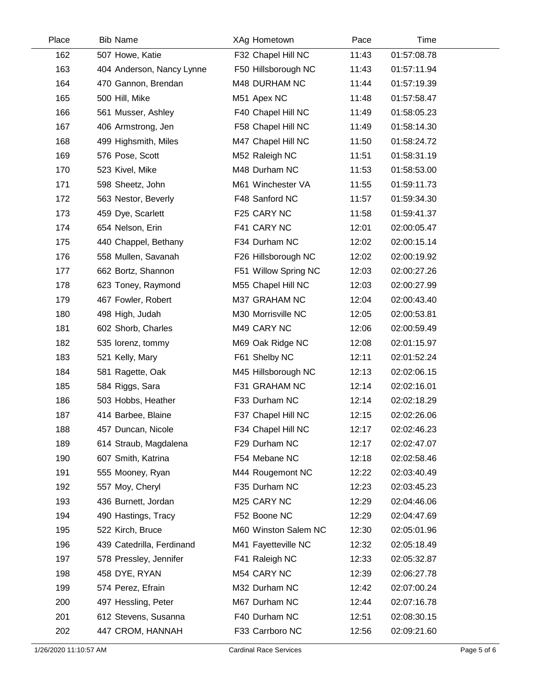| Place | <b>Bib Name</b>           | XAg Hometown         | Pace  | Time        |  |
|-------|---------------------------|----------------------|-------|-------------|--|
| 162   | 507 Howe, Katie           | F32 Chapel Hill NC   | 11:43 | 01:57:08.78 |  |
| 163   | 404 Anderson, Nancy Lynne | F50 Hillsborough NC  | 11:43 | 01:57:11.94 |  |
| 164   | 470 Gannon, Brendan       | M48 DURHAM NC        | 11:44 | 01:57:19.39 |  |
| 165   | 500 Hill, Mike            | M51 Apex NC          | 11:48 | 01:57:58.47 |  |
| 166   | 561 Musser, Ashley        | F40 Chapel Hill NC   | 11:49 | 01:58:05.23 |  |
| 167   | 406 Armstrong, Jen        | F58 Chapel Hill NC   | 11:49 | 01:58:14.30 |  |
| 168   | 499 Highsmith, Miles      | M47 Chapel Hill NC   | 11:50 | 01:58:24.72 |  |
| 169   | 576 Pose, Scott           | M52 Raleigh NC       | 11:51 | 01:58:31.19 |  |
| 170   | 523 Kivel, Mike           | M48 Durham NC        | 11:53 | 01:58:53.00 |  |
| 171   | 598 Sheetz, John          | M61 Winchester VA    | 11:55 | 01:59:11.73 |  |
| 172   | 563 Nestor, Beverly       | F48 Sanford NC       | 11:57 | 01:59:34.30 |  |
| 173   | 459 Dye, Scarlett         | F25 CARY NC          | 11:58 | 01:59:41.37 |  |
| 174   | 654 Nelson, Erin          | F41 CARY NC          | 12:01 | 02:00:05.47 |  |
| 175   | 440 Chappel, Bethany      | F34 Durham NC        | 12:02 | 02:00:15.14 |  |
| 176   | 558 Mullen, Savanah       | F26 Hillsborough NC  | 12:02 | 02:00:19.92 |  |
| 177   | 662 Bortz, Shannon        | F51 Willow Spring NC | 12:03 | 02:00:27.26 |  |
| 178   | 623 Toney, Raymond        | M55 Chapel Hill NC   | 12:03 | 02:00:27.99 |  |
| 179   | 467 Fowler, Robert        | M37 GRAHAM NC        | 12:04 | 02:00:43.40 |  |
| 180   | 498 High, Judah           | M30 Morrisville NC   | 12:05 | 02:00:53.81 |  |
| 181   | 602 Shorb, Charles        | M49 CARY NC          | 12:06 | 02:00:59.49 |  |
| 182   | 535 lorenz, tommy         | M69 Oak Ridge NC     | 12:08 | 02:01:15.97 |  |
| 183   | 521 Kelly, Mary           | F61 Shelby NC        | 12:11 | 02:01:52.24 |  |
| 184   | 581 Ragette, Oak          | M45 Hillsborough NC  | 12:13 | 02:02:06.15 |  |
| 185   | 584 Riggs, Sara           | F31 GRAHAM NC        | 12:14 | 02:02:16.01 |  |
| 186   | 503 Hobbs, Heather        | F33 Durham NC        | 12:14 | 02:02:18.29 |  |
| 187   | 414 Barbee, Blaine        | F37 Chapel Hill NC   | 12:15 | 02:02:26.06 |  |
| 188   | 457 Duncan, Nicole        | F34 Chapel Hill NC   | 12:17 | 02:02:46.23 |  |
| 189   | 614 Straub, Magdalena     | F29 Durham NC        | 12:17 | 02:02:47.07 |  |
| 190   | 607 Smith, Katrina        | F54 Mebane NC        | 12:18 | 02:02:58.46 |  |
| 191   | 555 Mooney, Ryan          | M44 Rougemont NC     | 12:22 | 02:03:40.49 |  |
| 192   | 557 Moy, Cheryl           | F35 Durham NC        | 12:23 | 02:03:45.23 |  |
| 193   | 436 Burnett, Jordan       | M25 CARY NC          | 12:29 | 02:04:46.06 |  |
| 194   | 490 Hastings, Tracy       | F52 Boone NC         | 12:29 | 02:04:47.69 |  |
| 195   | 522 Kirch, Bruce          | M60 Winston Salem NC | 12:30 | 02:05:01.96 |  |
| 196   | 439 Catedrilla, Ferdinand | M41 Fayetteville NC  | 12:32 | 02:05:18.49 |  |
| 197   | 578 Pressley, Jennifer    | F41 Raleigh NC       | 12:33 | 02:05:32.87 |  |
| 198   | 458 DYE, RYAN             | M54 CARY NC          | 12:39 | 02:06:27.78 |  |
| 199   | 574 Perez, Efrain         | M32 Durham NC        | 12:42 | 02:07:00.24 |  |
| 200   | 497 Hessling, Peter       | M67 Durham NC        | 12:44 | 02:07:16.78 |  |
| 201   | 612 Stevens, Susanna      | F40 Durham NC        | 12:51 | 02:08:30.15 |  |
| 202   | 447 CROM, HANNAH          | F33 Carrboro NC      | 12:56 | 02:09:21.60 |  |